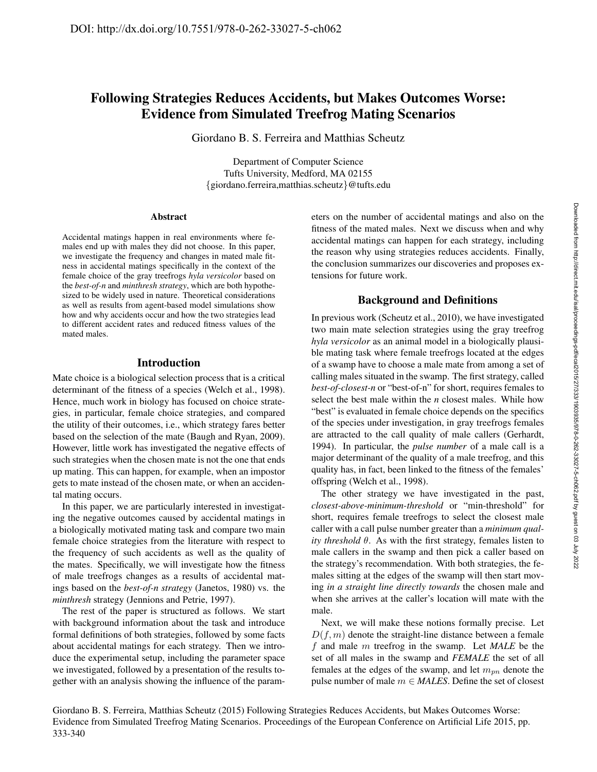# Following Strategies Reduces Accidents, but Makes Outcomes Worse: Evidence from Simulated Treefrog Mating Scenarios

Giordano B. S. Ferreira and Matthias Scheutz

Department of Computer Science Tufts University, Medford, MA 02155 {giordano.ferreira,matthias.scheutz}@tufts.edu

#### Abstract

Accidental matings happen in real environments where females end up with males they did not choose. In this paper, we investigate the frequency and changes in mated male fitness in accidental matings specifically in the context of the female choice of the gray treefrogs *hyla versicolor* based on the *best-of-n* and *minthresh strategy*, which are both hypothesized to be widely used in nature. Theoretical considerations as well as results from agent-based model simulations show how and why accidents occur and how the two strategies lead to different accident rates and reduced fitness values of the mated males.

# Introduction

Mate choice is a biological selection process that is a critical determinant of the fitness of a species (Welch et al., 1998). Hence, much work in biology has focused on choice strategies, in particular, female choice strategies, and compared the utility of their outcomes, i.e., which strategy fares better based on the selection of the mate (Baugh and Ryan, 2009). However, little work has investigated the negative effects of such strategies when the chosen mate is not the one that ends up mating. This can happen, for example, when an impostor gets to mate instead of the chosen mate, or when an accidental mating occurs.

In this paper, we are particularly interested in investigating the negative outcomes caused by accidental matings in a biologically motivated mating task and compare two main female choice strategies from the literature with respect to the frequency of such accidents as well as the quality of the mates. Specifically, we will investigate how the fitness of male treefrogs changes as a results of accidental matings based on the *best-of-n strategy* (Janetos, 1980) vs. the *minthresh* strategy (Jennions and Petrie, 1997).

The rest of the paper is structured as follows. We start with background information about the task and introduce formal definitions of both strategies, followed by some facts about accidental matings for each strategy. Then we introduce the experimental setup, including the parameter space we investigated, followed by a presentation of the results together with an analysis showing the influence of the parameters on the number of accidental matings and also on the fitness of the mated males. Next we discuss when and why accidental matings can happen for each strategy, including the reason why using strategies reduces accidents. Finally, the conclusion summarizes our discoveries and proposes extensions for future work.

# Background and Definitions

In previous work (Scheutz et al., 2010), we have investigated two main mate selection strategies using the gray treefrog *hyla versicolor* as an animal model in a biologically plausible mating task where female treefrogs located at the edges of a swamp have to choose a male mate from among a set of calling males situated in the swamp. The first strategy, called *best-of-closest-n* or "best-of-n" for short, requires females to select the best male within the *n* closest males. While how "best" is evaluated in female choice depends on the specifics of the species under investigation, in gray treefrogs females are attracted to the call quality of male callers (Gerhardt, 1994). In particular, the *pulse number* of a male call is a major determinant of the quality of a male treefrog, and this quality has, in fact, been linked to the fitness of the females' offspring (Welch et al., 1998).

The other strategy we have investigated in the past, *closest-above-minimum-threshold* or "min-threshold" for short, requires female treefrogs to select the closest male caller with a call pulse number greater than a *minimum quality threshold* θ. As with the first strategy, females listen to male callers in the swamp and then pick a caller based on the strategy's recommendation. With both strategies, the females sitting at the edges of the swamp will then start moving *in a straight line directly towards* the chosen male and when she arrives at the caller's location will mate with the male.

Next, we will make these notions formally precise. Let  $D(f, m)$  denote the straight-line distance between a female f and male m treefrog in the swamp. Let *MALE* be the set of all males in the swamp and *FEMALE* the set of all females at the edges of the swamp, and let  $m_{pn}$  denote the pulse number of male m ∈ *MALES*. Define the set of closest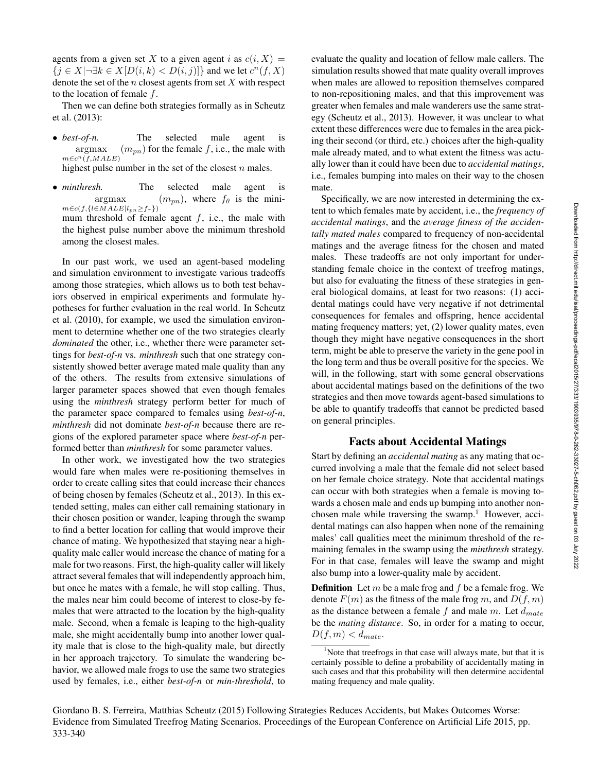agents from a given set X to a given agent i as  $c(i, X) =$  $\{j \in X | \neg \exists k \in X [D(i, k) < D(i, j)]\}$  and we let  $c^n(f, X)$ denote the set of the *n* closest agents from set  $X$  with respect to the location of female f.

Then we can define both strategies formally as in Scheutz et al. (2013):

• *best-of-n*. The selected male agent is argmax  $m{\in}c^n(f, MALE)$  $(m_{pn})$  for the female f, i.e., the male with

highest pulse number in the set of the closest  $n$  males.

• *minthresh*. The selected male agent is argmax  $m \in c(f, \{l \in M ALE | l_{pn} \geq f_{\tau} \})$  $(m_{nn})$ , where  $f_{\theta}$  is the minimum threshold of female agent  $f$ , i.e., the male with

the highest pulse number above the minimum threshold among the closest males. In our past work, we used an agent-based modeling and simulation environment to investigate various tradeoffs

among those strategies, which allows us to both test behaviors observed in empirical experiments and formulate hypotheses for further evaluation in the real world. In Scheutz et al. (2010), for example, we used the simulation environment to determine whether one of the two strategies clearly *dominated* the other, i.e., whether there were parameter settings for *best-of-n* vs. *minthresh* such that one strategy consistently showed better average mated male quality than any of the others. The results from extensive simulations of larger parameter spaces showed that even though females using the *minthresh* strategy perform better for much of the parameter space compared to females using *best-of-n*, *minthresh* did not dominate *best-of-n* because there are regions of the explored parameter space where *best-of-n* performed better than *minthresh* for some parameter values.

In other work, we investigated how the two strategies would fare when males were re-positioning themselves in order to create calling sites that could increase their chances of being chosen by females (Scheutz et al., 2013). In this extended setting, males can either call remaining stationary in their chosen position or wander, leaping through the swamp to find a better location for calling that would improve their chance of mating. We hypothesized that staying near a highquality male caller would increase the chance of mating for a male for two reasons. First, the high-quality caller will likely attract several females that will independently approach him, but once he mates with a female, he will stop calling. Thus, the males near him could become of interest to close-by females that were attracted to the location by the high-quality male. Second, when a female is leaping to the high-quality male, she might accidentally bump into another lower quality male that is close to the high-quality male, but directly in her approach trajectory. To simulate the wandering behavior, we allowed male frogs to use the same two strategies used by females, i.e., either *best-of-n* or *min-threshold*, to evaluate the quality and location of fellow male callers. The simulation results showed that mate quality overall improves when males are allowed to reposition themselves compared to non-repositioning males, and that this improvement was greater when females and male wanderers use the same strategy (Scheutz et al., 2013). However, it was unclear to what extent these differences were due to females in the area picking their second (or third, etc.) choices after the high-quality male already mated, and to what extent the fitness was actually lower than it could have been due to *accidental matings*, i.e., females bumping into males on their way to the chosen mate.

Specifically, we are now interested in determining the extent to which females mate by accident, i.e., the *frequency of accidental matings*, and the *average fitness of the accidentally mated males* compared to frequency of non-accidental matings and the average fitness for the chosen and mated males. These tradeoffs are not only important for understanding female choice in the context of treefrog matings, but also for evaluating the fitness of these strategies in general biological domains, at least for two reasons: (1) accidental matings could have very negative if not detrimental consequences for females and offspring, hence accidental mating frequency matters; yet, (2) lower quality mates, even though they might have negative consequences in the short term, might be able to preserve the variety in the gene pool in the long term and thus be overall positive for the species. We will, in the following, start with some general observations about accidental matings based on the definitions of the two strategies and then move towards agent-based simulations to be able to quantify tradeoffs that cannot be predicted based on general principles.

# Facts about Accidental Matings

Start by defining an *accidental mating* as any mating that occurred involving a male that the female did not select based on her female choice strategy. Note that accidental matings can occur with both strategies when a female is moving towards a chosen male and ends up bumping into another nonchosen male while traversing the swamp.<sup>1</sup> However, accidental matings can also happen when none of the remaining males' call qualities meet the minimum threshold of the remaining females in the swamp using the *minthresh* strategy. For in that case, females will leave the swamp and might also bump into a lower-quality male by accident.

**Definition** Let  $m$  be a male frog and  $f$  be a female frog. We denote  $F(m)$  as the fitness of the male frog m, and  $D(f, m)$ as the distance between a female f and male m. Let  $d_{mate}$ be the *mating distance*. So, in order for a mating to occur,  $D(f, m) < d_{mate}.$ 

 $1$ Note that treefrogs in that case will always mate, but that it is certainly possible to define a probability of accidentally mating in such cases and that this probability will then determine accidental mating frequency and male quality.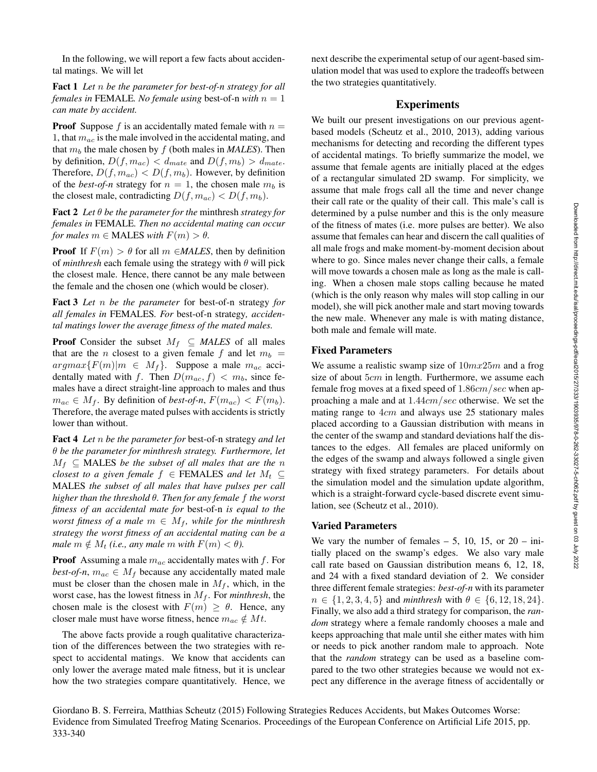In the following, we will report a few facts about accidental matings. We will let

Fact 1 *Let* n *be the parameter for best-of-n strategy for all females in* FEMALE*. No female using* best-of-n *with*  $n = 1$ *can mate by accident.*

**Proof** Suppose f is an accidentally mated female with  $n =$ 1, that  $m_{ac}$  is the male involved in the accidental mating, and that  $m_b$  the male chosen by  $f$  (both males in *MALES*). Then by definition,  $D(f, m_{ac}) < d_{mate}$  and  $D(f, m_b) > d_{mate}$ . Therefore,  $D(f, m_{ac}) < D(f, m_b)$ . However, by definition of the *best-of-n* strategy for  $n = 1$ , the chosen male  $m_b$  is the closest male, contradicting  $D(f, m_{ac}) < D(f, m_b)$ .

Fact 2 *Let* θ *be the parameter for the* minthresh *strategy for females in* FEMALE*. Then no accidental mating can occur for males*  $m \in$  **MALES** *with*  $F(m) > \theta$ *.* 

**Proof** If  $F(m) > \theta$  for all  $m \in \text{MALES}$ , then by definition of *minthresh* each female using the strategy with  $\theta$  will pick the closest male. Hence, there cannot be any male between the female and the chosen one (which would be closer).

Fact 3 *Let* n *be the parameter* for best-of-n strategy *for all females in* FEMALES*. For* best-of-n strategy*, accidental matings lower the average fitness of the mated males.*

**Proof** Consider the subset  $M_f \subseteq \text{MALES}$  of all males that are the *n* closest to a given female f and let  $m_b$  =  $argmax\{F(m)|m \in M_f\}$ . Suppose a male  $m_{ac}$  accidentally mated with f. Then  $D(m_{ac}, f) < m_b$ , since females have a direct straight-line approach to males and thus  $m_{ac} \in M_f$ . By definition of *best-of-n*,  $F(m_{ac}) < F(m_b)$ . Therefore, the average mated pulses with accidents is strictly lower than without.

Fact 4 *Let* n *be the parameter for* best-of-n strategy *and let* θ *be the parameter for minthresh strategy. Furthermore, let*  $M_f \subseteq$  MALES *be the subset of all males that are the* n *closest to a given female*  $f \in \text{FEMALES}$  *and let*  $M_t \subseteq$ MALES *the subset of all males that have pulses per call higher than the threshold* θ*. Then for any female* f *the worst fitness of an accidental mate for* best-of-n *is equal to the worst fitness of a male*  $m \in M_f$ *, while for the minthresh strategy the worst fitness of an accidental mating can be a male*  $m \notin M_t$  *(i.e., any male*  $m$  *with*  $F(m) < \theta$ *).* 

**Proof** Assuming a male  $m_{ac}$  accidentally mates with f. For *best-of-n*,  $m_{ac} \in M_f$  because any accidentally mated male must be closer than the chosen male in  $M_f$ , which, in the worst case, has the lowest fitness in  $M_f$ . For *minthresh*, the chosen male is the closest with  $F(m) \ge \theta$ . Hence, any closer male must have worse fitness, hence  $m_{ac} \notin Mt$ .

The above facts provide a rough qualitative characterization of the differences between the two strategies with respect to accidental matings. We know that accidents can only lower the average mated male fitness, but it is unclear how the two strategies compare quantitatively. Hence, we next describe the experimental setup of our agent-based simulation model that was used to explore the tradeoffs between the two strategies quantitatively.

# Experiments

We built our present investigations on our previous agentbased models (Scheutz et al., 2010, 2013), adding various mechanisms for detecting and recording the different types of accidental matings. To briefly summarize the model, we assume that female agents are initially placed at the edges of a rectangular simulated 2D swamp. For simplicity, we assume that male frogs call all the time and never change their call rate or the quality of their call. This male's call is determined by a pulse number and this is the only measure of the fitness of mates (i.e. more pulses are better). We also assume that females can hear and discern the call qualities of all male frogs and make moment-by-moment decision about where to go. Since males never change their calls, a female will move towards a chosen male as long as the male is calling. When a chosen male stops calling because he mated (which is the only reason why males will stop calling in our model), she will pick another male and start moving towards the new male. Whenever any male is with mating distance, both male and female will mate.

### Fixed Parameters

We assume a realistic swamp size of  $10mx25m$  and a frog size of about  $5cm$  in length. Furthermore, we assume each female frog moves at a fixed speed of  $1.86 \text{cm}/\text{sec}$  when approaching a male and at 1.44cm/sec otherwise. We set the mating range to  $4cm$  and always use 25 stationary males placed according to a Gaussian distribution with means in the center of the swamp and standard deviations half the distances to the edges. All females are placed uniformly on the edges of the swamp and always followed a single given strategy with fixed strategy parameters. For details about the simulation model and the simulation update algorithm, which is a straight-forward cycle-based discrete event simulation, see (Scheutz et al., 2010).

# Varied Parameters

We vary the number of females  $-5$ , 10, 15, or 20 – initially placed on the swamp's edges. We also vary male call rate based on Gaussian distribution means 6, 12, 18, and 24 with a fixed standard deviation of 2. We consider three different female strategies: *best-of-n* with its parameter  $n \in \{1, 2, 3, 4, 5\}$  and *minthresh* with  $\theta \in \{6, 12, 18, 24\}.$ Finally, we also add a third strategy for comparison, the *random* strategy where a female randomly chooses a male and keeps approaching that male until she either mates with him or needs to pick another random male to approach. Note that the *random* strategy can be used as a baseline compared to the two other strategies because we would not expect any difference in the average fitness of accidentally or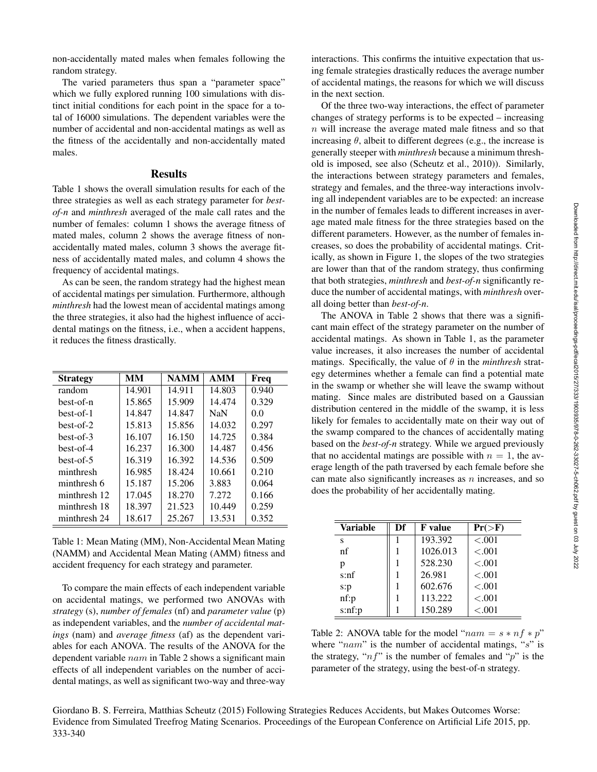non-accidentally mated males when females following the random strategy.

The varied parameters thus span a "parameter space" which we fully explored running 100 simulations with distinct initial conditions for each point in the space for a total of 16000 simulations. The dependent variables were the number of accidental and non-accidental matings as well as the fitness of the accidentally and non-accidentally mated males.

# **Results**

Table 1 shows the overall simulation results for each of the three strategies as well as each strategy parameter for *bestof-n* and *minthresh* averaged of the male call rates and the number of females: column 1 shows the average fitness of mated males, column 2 shows the average fitness of nonaccidentally mated males, column 3 shows the average fitness of accidentally mated males, and column 4 shows the frequency of accidental matings.

As can be seen, the random strategy had the highest mean of accidental matings per simulation. Furthermore, although *minthresh* had the lowest mean of accidental matings among the three strategies, it also had the highest influence of accidental matings on the fitness, i.e., when a accident happens, it reduces the fitness drastically.

| <b>Strategy</b> | MМ     | <b>NAMM</b> | <b>AMM</b> | Freq  |
|-----------------|--------|-------------|------------|-------|
| random          | 14.901 | 14.911      | 14.803     | 0.940 |
| best-of-n       | 15.865 | 15.909      | 14.474     | 0.329 |
| best-of-1       | 14.847 | 14.847      | <b>NaN</b> | 0.0   |
| $best-of-2$     | 15.813 | 15.856      | 14.032     | 0.297 |
| $best-of-3$     | 16.107 | 16.150      | 14.725     | 0.384 |
| best-of-4       | 16.237 | 16.300      | 14.487     | 0.456 |
| best-of-5       | 16.319 | 16.392      | 14.536     | 0.509 |
| minthresh       | 16.985 | 18.424      | 10.661     | 0.210 |
| minthresh 6     | 15.187 | 15.206      | 3.883      | 0.064 |
| minthresh 12    | 17.045 | 18.270      | 7.272      | 0.166 |
| minthresh 18    | 18.397 | 21.523      | 10.449     | 0.259 |
| minthresh 24    | 18.617 | 25.267      | 13.531     | 0.352 |

Table 1: Mean Mating (MM), Non-Accidental Mean Mating (NAMM) and Accidental Mean Mating (AMM) fitness and accident frequency for each strategy and parameter.

To compare the main effects of each independent variable on accidental matings, we performed two ANOVAs with *strategy* (s), *number of females* (nf) and *parameter value* (p) as independent variables, and the *number of accidental matings* (nam) and *average fitness* (af) as the dependent variables for each ANOVA. The results of the ANOVA for the dependent variable nam in Table 2 shows a significant main effects of all independent variables on the number of accidental matings, as well as significant two-way and three-way

interactions. This confirms the intuitive expectation that using female strategies drastically reduces the average number of accidental matings, the reasons for which we will discuss in the next section.

Of the three two-way interactions, the effect of parameter changes of strategy performs is to be expected – increasing n will increase the average mated male fitness and so that increasing  $\theta$ , albeit to different degrees (e.g., the increase is generally steeper with *minthresh* because a minimum threshold is imposed, see also (Scheutz et al., 2010)). Similarly, the interactions between strategy parameters and females, strategy and females, and the three-way interactions involving all independent variables are to be expected: an increase in the number of females leads to different increases in average mated male fitness for the three strategies based on the different parameters. However, as the number of females increases, so does the probability of accidental matings. Critically, as shown in Figure 1, the slopes of the two strategies are lower than that of the random strategy, thus confirming that both strategies, *minthresh* and *best-of-n* significantly reduce the number of accidental matings, with *minthresh* overall doing better than *best-of-n*.

The ANOVA in Table 2 shows that there was a significant main effect of the strategy parameter on the number of accidental matings. As shown in Table 1, as the parameter value increases, it also increases the number of accidental matings. Specifically, the value of  $\theta$  in the *minthresh* strategy determines whether a female can find a potential mate in the swamp or whether she will leave the swamp without mating. Since males are distributed based on a Gaussian distribution centered in the middle of the swamp, it is less likely for females to accidentally mate on their way out of the swamp compared to the chances of accidentally mating based on the *best-of-n* strategy. While we argued previously that no accidental matings are possible with  $n = 1$ , the average length of the path traversed by each female before she can mate also significantly increases as  $n$  increases, and so does the probability of her accidentally mating.

| <b>Variable</b> | Df | <b>F</b> value | $Pr(>\!\!\!\!\!\!\succ\!\!F)$ |
|-----------------|----|----------------|-------------------------------|
| s               |    | 193.392        | < 0.001                       |
| nf              |    | 1026.013       | < 0.001                       |
| p               |    | 528.230        | < 0.001                       |
| s: nf           |    | 26.981         | < 0.001                       |
| s:p             |    | 602.676        | < 0.001                       |
| $nf$ : $p$      |    | 113.222        | < 0.001                       |
| s: nf: p        |    | 150.289        | < .001                        |

Table 2: ANOVA table for the model " $nam = s * nf * p$ " where " $nam$ " is the number of accidental matings, " $s$ " is the strategy, " $n f$ " is the number of females and "p" is the parameter of the strategy, using the best-of-n strategy.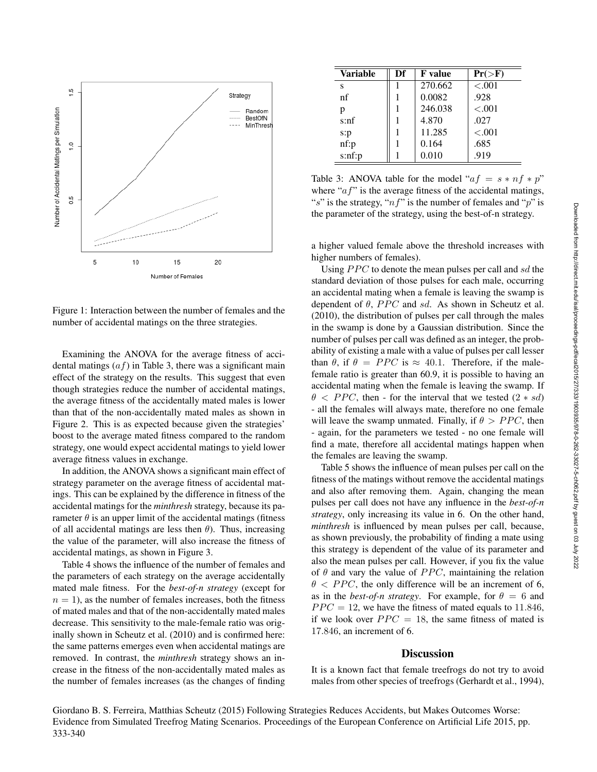

Figure 1: Interaction between the number of females and the number of accidental matings on the three strategies.

Examining the ANOVA for the average fitness of accidental matings  $(af)$  in Table 3, there was a significant main effect of the strategy on the results. This suggest that even though strategies reduce the number of accidental matings, the average fitness of the accidentally mated males is lower than that of the non-accidentally mated males as shown in Figure 2. This is as expected because given the strategies' boost to the average mated fitness compared to the random strategy, one would expect accidental matings to yield lower average fitness values in exchange.

In addition, the ANOVA shows a significant main effect of strategy parameter on the average fitness of accidental matings. This can be explained by the difference in fitness of the accidental matings for the *minthresh* strategy, because its parameter  $\theta$  is an upper limit of the accidental matings (fitness of all accidental matings are less then  $\theta$ ). Thus, increasing the value of the parameter, will also increase the fitness of accidental matings, as shown in Figure 3.

Table 4 shows the influence of the number of females and the parameters of each strategy on the average accidentally mated male fitness. For the *best-of-n strategy* (except for  $n = 1$ , as the number of females increases, both the fitness of mated males and that of the non-accidentally mated males decrease. This sensitivity to the male-female ratio was originally shown in Scheutz et al. (2010) and is confirmed here: the same patterns emerges even when accidental matings are removed. In contrast, the *minthresh* strategy shows an increase in the fitness of the non-accidentally mated males as the number of females increases (as the changes of finding

| <b>Variable</b> | Df | <b>F</b> value | $Pr(>\ F)$ |
|-----------------|----|----------------|------------|
| s               |    | 270.662        | < 0.001    |
| nf              |    | 0.0082         | .928       |
| p               |    | 246.038        | ${<}.001$  |
| s: nf           |    | 4.870          | .027       |
| s:p             |    | 11.285         | ${<}.001$  |
| nf:p            |    | 0.164          | .685       |
| s: nf: p        |    | 0.010          | .919       |

Table 3: ANOVA table for the model " $af = s * nf * p$ " where " $af$ " is the average fitness of the accidental matings, "s" is the strategy, " $nf$ " is the number of females and "p" is the parameter of the strategy, using the best-of-n strategy.

a higher valued female above the threshold increases with higher numbers of females).

Using  $PPC$  to denote the mean pulses per call and sd the standard deviation of those pulses for each male, occurring an accidental mating when a female is leaving the swamp is dependent of  $\theta$ , PPC and sd. As shown in Scheutz et al. (2010), the distribution of pulses per call through the males in the swamp is done by a Gaussian distribution. Since the number of pulses per call was defined as an integer, the probability of existing a male with a value of pulses per call lesser than  $\theta$ , if  $\theta = PPC$  is  $\approx 40.1$ . Therefore, if the malefemale ratio is greater than 60.9, it is possible to having an accidental mating when the female is leaving the swamp. If  $\theta$  < PPC, then - for the interval that we tested  $(2 * sd)$ - all the females will always mate, therefore no one female will leave the swamp unmated. Finally, if  $\theta > PPC$ , then - again, for the parameters we tested - no one female will find a mate, therefore all accidental matings happen when the females are leaving the swamp.

Table 5 shows the influence of mean pulses per call on the fitness of the matings without remove the accidental matings and also after removing them. Again, changing the mean pulses per call does not have any influence in the *best-of-n strategy*, only increasing its value in 6. On the other hand, *minthresh* is influenced by mean pulses per call, because, as shown previously, the probability of finding a mate using this strategy is dependent of the value of its parameter and also the mean pulses per call. However, if you fix the value of  $\theta$  and vary the value of PPC, maintaining the relation  $\theta$  < PPC, the only difference will be an increment of 6, as in the *best-of-n strategy*. For example, for  $\theta = 6$  and  $PPC = 12$ , we have the fitness of mated equals to 11.846, if we look over  $PPC = 18$ , the same fitness of mated is 17.846, an increment of 6.

#### **Discussion**

It is a known fact that female treefrogs do not try to avoid males from other species of treefrogs (Gerhardt et al., 1994),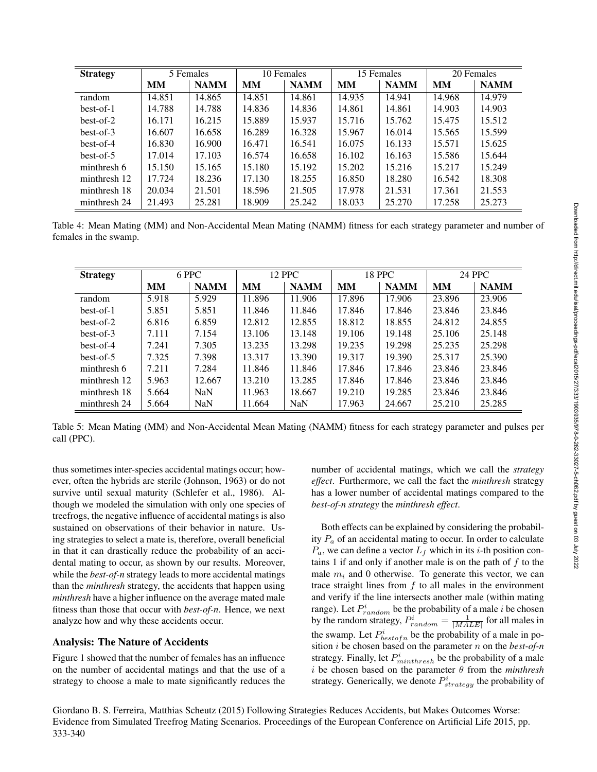| <b>Strategy</b> | 5 Females |             | 10 Females |             | 15 Females |             | 20 Females |             |
|-----------------|-----------|-------------|------------|-------------|------------|-------------|------------|-------------|
|                 | MМ        | <b>NAMM</b> | MМ         | <b>NAMM</b> | MМ         | <b>NAMM</b> | MМ         | <b>NAMM</b> |
| random          | 14.851    | 14.865      | 14.851     | 14.861      | 14.935     | 14.941      | 14.968     | 14.979      |
| $best-of-1$     | 14.788    | 14.788      | 14.836     | 14.836      | 14.861     | 14.861      | 14.903     | 14.903      |
| $best-of-2$     | 16.171    | 16.215      | 15.889     | 15.937      | 15.716     | 15.762      | 15.475     | 15.512      |
| $best-of-3$     | 16.607    | 16.658      | 16.289     | 16.328      | 15.967     | 16.014      | 15.565     | 15.599      |
| $best-of-4$     | 16.830    | 16.900      | 16.471     | 16.541      | 16.075     | 16.133      | 15.571     | 15.625      |
| $best-of-5$     | 17.014    | 17.103      | 16.574     | 16.658      | 16.102     | 16.163      | 15.586     | 15.644      |
| minthresh 6     | 15.150    | 15.165      | 15.180     | 15.192      | 15.202     | 15.216      | 15.217     | 15.249      |
| minthresh 12    | 17.724    | 18.236      | 17.130     | 18.255      | 16.850     | 18.280      | 16.542     | 18.308      |
| minthresh 18    | 20.034    | 21.501      | 18.596     | 21.505      | 17.978     | 21.531      | 17.361     | 21.553      |
| minthresh 24    | 21.493    | 25.281      | 18.909     | 25.242      | 18.033     | 25.270      | 17.258     | 25.273      |

Table 4: Mean Mating (MM) and Non-Accidental Mean Mating (NAMM) fitness for each strategy parameter and number of females in the swamp.

| <b>Strategy</b> | 6 PPC     |             | <b>12 PPC</b> |             | <b>18 PPC</b> |             | <b>24 PPC</b> |             |
|-----------------|-----------|-------------|---------------|-------------|---------------|-------------|---------------|-------------|
|                 | <b>MM</b> | <b>NAMM</b> | <b>MM</b>     | <b>NAMM</b> | <b>MM</b>     | <b>NAMM</b> | MМ            | <b>NAMM</b> |
| random          | 5.918     | 5.929       | 11.896        | 11.906      | 17.896        | 17.906      | 23.896        | 23.906      |
| $best-of-1$     | 5.851     | 5.851       | 11.846        | 11.846      | 17.846        | 17.846      | 23.846        | 23.846      |
| $best-of-2$     | 6.816     | 6.859       | 12.812        | 12.855      | 18.812        | 18.855      | 24.812        | 24.855      |
| $best-of-3$     | 7.111     | 7.154       | 13.106        | 13.148      | 19.106        | 19.148      | 25.106        | 25.148      |
| $best-of-4$     | 7.241     | 7.305       | 13.235        | 13.298      | 19.235        | 19.298      | 25.235        | 25.298      |
| $best-of-5$     | 7.325     | 7.398       | 13.317        | 13.390      | 19.317        | 19.390      | 25.317        | 25.390      |
| minthresh 6     | 7.211     | 7.284       | 11.846        | 11.846      | 17.846        | 17.846      | 23.846        | 23.846      |
| minthresh 12    | 5.963     | 12.667      | 13.210        | 13.285      | 17.846        | 17.846      | 23.846        | 23.846      |
| minthresh 18    | 5.664     | <b>NaN</b>  | 11.963        | 18.667      | 19.210        | 19.285      | 23.846        | 23.846      |
| minthresh 24    | 5.664     | <b>NaN</b>  | 11.664        | <b>NaN</b>  | 17.963        | 24.667      | 25.210        | 25.285      |

Table 5: Mean Mating (MM) and Non-Accidental Mean Mating (NAMM) fitness for each strategy parameter and pulses per call (PPC).

thus sometimes inter-species accidental matings occur; however, often the hybrids are sterile (Johnson, 1963) or do not survive until sexual maturity (Schlefer et al., 1986). Although we modeled the simulation with only one species of treefrogs, the negative influence of accidental matings is also sustained on observations of their behavior in nature. Using strategies to select a mate is, therefore, overall beneficial in that it can drastically reduce the probability of an accidental mating to occur, as shown by our results. Moreover, while the *best-of-n* strategy leads to more accidental matings than the *minthresh* strategy, the accidents that happen using *minthresh* have a higher influence on the average mated male fitness than those that occur with *best-of-n*. Hence, we next analyze how and why these accidents occur.

# Analysis: The Nature of Accidents

Figure 1 showed that the number of females has an influence on the number of accidental matings and that the use of a strategy to choose a male to mate significantly reduces the

number of accidental matings, which we call the *strategy effect*. Furthermore, we call the fact the *minthresh* strategy has a lower number of accidental matings compared to the *best-of-n strategy* the *minthresh effect*.

Both effects can be explained by considering the probability  $P_a$  of an accidental mating to occur. In order to calculate  $P_a$ , we can define a vector  $L_f$  which in its *i*-th position contains 1 if and only if another male is on the path of  $f$  to the male  $m_i$  and 0 otherwise. To generate this vector, we can trace straight lines from  $f$  to all males in the environment and verify if the line intersects another male (within mating range). Let  $P_{random}^{i}$  be the probability of a male i be chosen by the random strategy,  $P_{random}^i = \frac{1}{|MALE|}$  for all males in the swamp. Let  $P_{bestofn}^{i}$  be the probability of a male in position i be chosen based on the parameter n on the *best-of-n* strategy. Finally, let  $P_{minthresh}^i$  be the probability of a male  $i$  be chosen based on the parameter  $\theta$  from the *minthresh* strategy. Generically, we denote  $P_{strategy}^i$  the probability of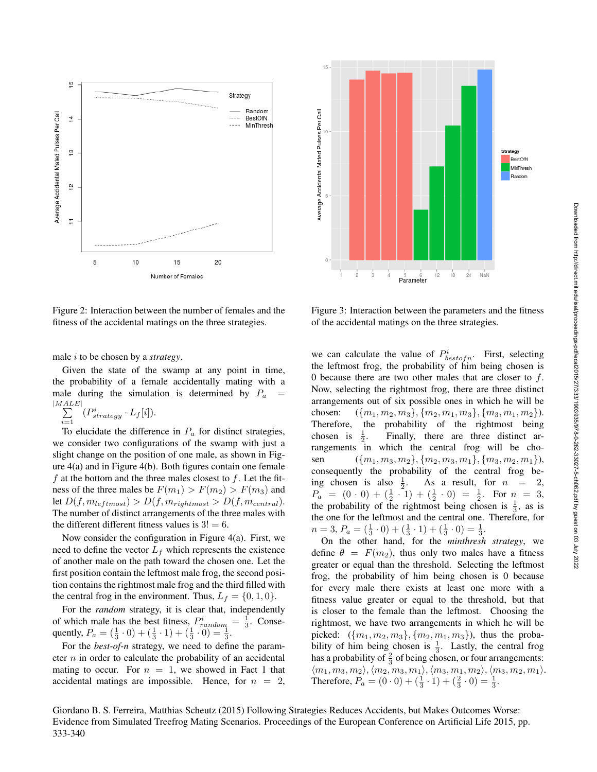

Figure 2: Interaction between the number of females and the fitness of the accidental matings on the three strategies.

male i to be chosen by a *strategy*.

Given the state of the swamp at any point in time, the probability of a female accidentally mating with a male during the simulation is determined by  $P_a$  =  $\frac{|MALE|}{\sum}$ 

 $i=1$  $(P_{strategy}^{i} \cdot L_f[i]).$ 

To elucidate the difference in  $P_a$  for distinct strategies, we consider two configurations of the swamp with just a slight change on the position of one male, as shown in Figure 4(a) and in Figure 4(b). Both figures contain one female  $f$  at the bottom and the three males closest to  $f$ . Let the fitness of the three males be  $F(m_1) > F(m_2) > F(m_3)$  and let  $D(f, m_{leftmost}) > D(f, m_{rightmost} > D(f, m_{central}).$ The number of distinct arrangements of the three males with the different different fitness values is  $3! = 6$ .

Now consider the configuration in Figure 4(a). First, we need to define the vector  $L_f$  which represents the existence of another male on the path toward the chosen one. Let the first position contain the leftmost male frog, the second position contains the rightmost male frog and the third filled with the central frog in the environment. Thus,  $L_f = \{0, 1, 0\}$ .

For the *random* strategy, it is clear that, independently of which male has the best fitness,  $P_{random}^i = \frac{1}{3}$ . Consequently,  $P_a = (\frac{1}{3} \cdot 0) + (\frac{1}{3} \cdot 1) + (\frac{1}{3} \cdot 0) = \frac{1}{3}$ .

For the *best-of-n* strategy, we need to define the parameter  $n$  in order to calculate the probability of an accidental mating to occur. For  $n = 1$ , we showed in Fact 1 that accidental matings are impossible. Hence, for  $n = 2$ ,



Figure 3: Interaction between the parameters and the fitness of the accidental matings on the three strategies.

we can calculate the value of  $P_{bestofn}^i$ . First, selecting the leftmost frog, the probability of him being chosen is 0 because there are two other males that are closer to f. Now, selecting the rightmost frog, there are three distinct arrangements out of six possible ones in which he will be chosen:  $({m_1, m_2, m_3}, {m_2, m_1, m_3}, {m_3, m_1, m_2}).$ <br>Therefore, the probability of the rightmost being the probability of the rightmost being chosen is 2 . Finally, there are three distinct arrangements in which the central frog will be chosen  $({m_1, m_3, m_2}, {m_2, m_3, m_1}, {m_3, m_2, m_1}),$ consequently the probability of the central frog being chosen is also  $\frac{1}{2}$ . As a result, for  $n = 2$ ,  $P_a = (0 \cdot 0) + (\frac{1}{2} \cdot 1) + (\frac{1}{2} \cdot 0) = \frac{1}{2}$ . For  $n = 3$ , the probability of the rightmost being chosen is  $\frac{1}{3}$ , as is the one for the leftmost and the central one. Therefore, for  $n = 3, P_a = (\frac{1}{3} \cdot 0) + (\frac{1}{3} \cdot 1) + (\frac{1}{3} \cdot 0) = \frac{1}{3}.$ 

On the other hand, for the *minthresh strategy*, we define  $\theta = F(m_2)$ , thus only two males have a fitness greater or equal than the threshold. Selecting the leftmost frog, the probability of him being chosen is 0 because for every male there exists at least one more with a fitness value greater or equal to the threshold, but that is closer to the female than the leftmost. Choosing the rightmost, we have two arrangements in which he will be picked:  $({m_1, m_2, m_3}, {m_2, m_1, m_3})$ , thus the probability of him being chosen is  $\frac{1}{3}$ . Lastly, the central frog has a probability of  $\frac{2}{3}$  of being chosen, or four arrangements:  $\langle m_1, m_3, m_2\rangle, \langle m_2, m_3, m_1\rangle, \langle m_3, m_1, m_2\rangle, \langle m_3, m_2, m_1\rangle.$ Therefore,  $P_a = (0 \cdot 0) + (\frac{1}{3} \cdot 1) + (\frac{2}{3} \cdot 0) = \frac{1}{3}$ .